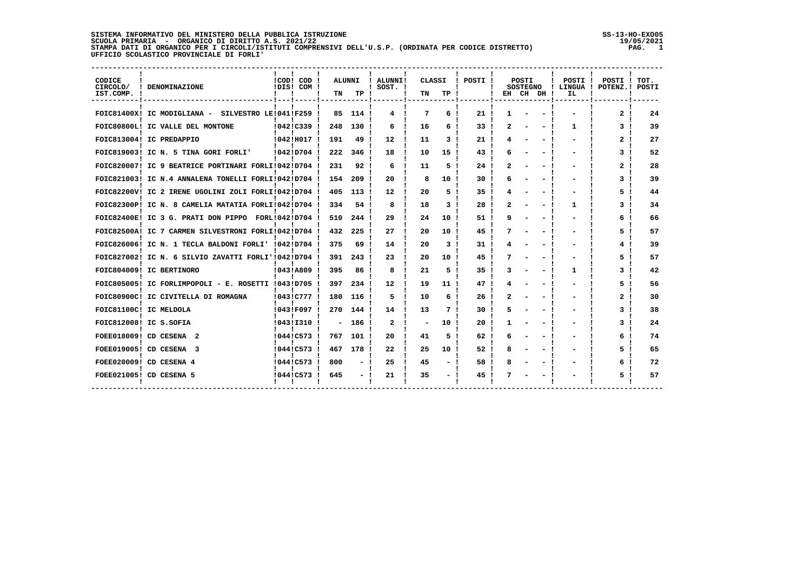## SISTEMA INFORMATIVO DEL MINISTERO DELLA PUBBLICA ISTRUZIONE<br>SCUOLA PRIMARIA - ORGANICO DI DIRITTO A.S. 2021/22<br>STAMPA DATI DI ORGANICO PER I CIRCOLI/ISTITUTI COMPRENSIVI DELL'U.S.P. (ORDINATA PER CODICE DISTRETTO) |

SS-13-HO-EXO05<br>19/05/2021 PAG. 1

| CODICE<br>CIRCOLO/<br>! DENOMINAZIONE<br>IST.COMP. ! | Ι. | !COD! COD !<br>IDIS! COM ! | TN  | ALUNNI<br>TP ! | ! ALUNNI!<br>$!$ SOST. $!$ | TN | CLASSI<br>TP !  | ! POSTI !       | EH | POSTI<br><b>SOSTEGNO</b> | CH DH ! | POSTI !<br>IL | POSTI !<br>! LINGUA ! POTENZ.! | TOT.<br>POSTI |
|------------------------------------------------------|----|----------------------------|-----|----------------|----------------------------|----|-----------------|-----------------|----|--------------------------|---------|---------------|--------------------------------|---------------|
| FOIC81400X! IC MODIGLIANA - SILVESTRO LE!041!F259 !  |    |                            | 85. | 114 !          | 4                          | 7  | б.              | 21 <sub>1</sub> |    |                          |         |               | 2                              | 24            |
| FOIC80800L! IC VALLE DEL MONTONE                     |    | 10421C339                  | 248 | 130 !          | 6                          | 16 | б.              | 33              |    |                          |         | 1.            | 3                              | 39            |
| FOIC813004! IC PREDAPPIO                             |    | !042!H017                  | 191 | 49             | $12 \overline{ }$          | 11 | 3               | 21              |    |                          |         |               | 2                              | 27            |
| FOIC819003! IC N. 5 TINA GORI FORLI'                 |    | 10421D704                  | 222 | 346            | 18                         | 10 | 15              | 43              |    |                          |         |               | 3                              | 52            |
| FOIC820007! IC 9 BEATRICE PORTINARI FORLI!042!D704 ! |    |                            | 231 | 92             | 6                          | 11 | 5.              | 24              |    |                          |         |               | 2                              | 28            |
| FOIC821003! IC N.4 ANNALENA TONELLI FORLI!042!D704   |    |                            | 154 | 209            | 20                         | 8  | 10              | 30              |    |                          |         |               | 3                              | 39            |
| FOIC82200V! IC 2 IRENE UGOLINI ZOLI FORLI!042!D704   |    |                            | 405 | 113            | $12 \overline{ }$          | 20 | 5.              | 35              |    |                          |         |               | 5                              | 44            |
| FOIC82300P! IC N. 8 CAMELIA MATATIA FORLI!042!D704 ! |    |                            | 334 | 54 !           | 8                          | 18 | 3               | 28              |    |                          |         | 1             | 3                              | 34            |
| FOIC82400E! IC 3 G. PRATI DON PIPPO FORL!042!D704 !  |    |                            | 510 | 244            | 29                         | 24 | 10              | 51              |    |                          |         |               | 6                              | 66            |
| FOIC82500A! IC 7 CARMEN SILVESTRONI FORLI!042!D704   |    |                            | 432 | 225            | 27                         | 20 | 10              | 45              |    |                          |         |               | 5.                             | 57            |
| FOIC826006! IC N. 1 TECLA BALDONI FORLI' !042!D704   |    |                            | 375 | 69             | 14                         | 20 | 3               | 31              |    |                          |         |               | 4                              | 39            |
| FOIC827002! IC N. 6 SILVIO ZAVATTI FORLI'!042!D704 ! |    |                            | 391 | 243            | 23                         | 20 | 10              | 45              |    |                          |         |               | 5.                             | 57            |
| FOIC804009! IC BERTINORO                             |    | 10431A809 1                | 395 | 86             | 8                          | 21 | 5.              | 35              |    |                          |         | 1             | 3                              | 42            |
| FOIC805005! IC FORLIMPOPOLI - E. ROSETTI !043!D705   |    |                            | 397 | 234            | 12                         | 19 | 11              | 47              |    |                          |         |               | 5.                             | 56            |
| FOIC80900C! IC CIVITELLA DI ROMAGNA                  |    | !043!C777 !                | 180 | 116            | 5                          | 10 | б.              | 26              |    |                          |         |               | 2                              | 30            |
| FOIC81100C! IC MELDOLA                               |    | !043!F097 !                | 270 | 144            | 14                         | 13 | 7               | 30              |    |                          |         |               | 3                              | 38            |
| FOIC812008! IC S.SOFIA                               |    | !043!I310 !                |     | 186 !          | $\overline{\mathbf{2}}$    | ۳  | 10              | 20              |    |                          |         |               | 3                              | 24            |
| FOEE018009! CD CESENA 2                              |    | !044!C573                  | 767 | 101 !          | 20                         | 41 | 5               | 62              |    |                          |         |               | 6                              | 74            |
| FOEE019005! CD CESENA 3                              |    | !044!C573!                 | 467 | 178            | 22                         | 25 | 10 <sup>1</sup> | 52              |    |                          |         |               | 5.                             | 65            |
| FOEE020009! CD CESENA 4                              |    | !044!C573 !                | 800 |                | 25                         | 45 |                 | 58              |    |                          |         |               | 6                              | 72            |
| FOEE021005! CD CESENA 5                              |    | !044!C573                  | 645 |                | 21                         | 35 |                 | 45              |    |                          |         |               | 5                              | 57            |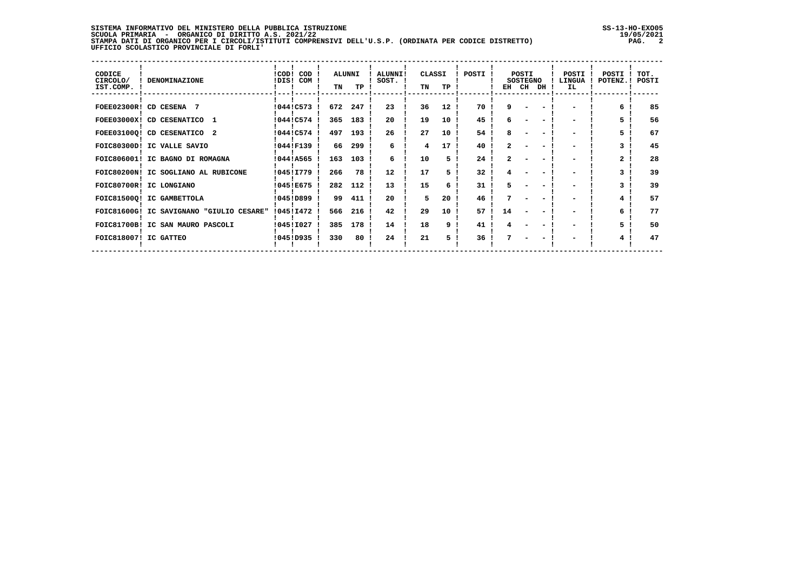## **SISTEMA INFORMATIVO DEL MINISTERO DELLA PUBBLICA ISTRUZIONE SS-13-HO-EXO05 SCUOLA PRIMARIA - ORGANICO DI DIRITTO A.S. 2021/22 19/05/2021 STAMPA DATI DI ORGANICO PER I CIRCOLI/ISTITUTI COMPRENSIVI DELL'U.S.P. (ORDINATA PER CODICE DISTRETTO) PAG. 2 UFFICIO SCOLASTICO PROVINCIALE DI FORLI'**

| CODICE<br>CIRCOLO/<br>IST.COMP. | <b>DENOMINAZIONE</b>                     |           | !COD! COD<br>!DIS! COM ! | TN  | <b>ALUNNI</b><br>TP. | ALUNNI!<br>SOST. ! | CLASSI<br>TN | TP              | POSTI ! | EH CH | POSTI<br><b>SOSTEGNO</b> | DH | POSTI<br><b>LINGUA</b><br>IL | POSTI<br>POTENZ. ! | TOT.<br>POSTI |
|---------------------------------|------------------------------------------|-----------|--------------------------|-----|----------------------|--------------------|--------------|-----------------|---------|-------|--------------------------|----|------------------------------|--------------------|---------------|
|                                 | FOEE02300R! CD CESENA 7                  | !044!C573 |                          | 672 | 247                  | 23                 | 36           | 12 <sup>2</sup> | 70      | ۹     |                          |    |                              |                    | 85            |
|                                 | FOEE03000X! CD CESENATICO 1              |           | !044!C574                | 365 | 183                  | 20                 | 19           | 10              | 45      |       |                          |    |                              |                    | 56            |
|                                 | FOEE03100Q! CD CESENATICO 2              |           | !044!C574 !              | 497 | 193!                 | 26                 | 27           | 10              | 54      |       |                          |    |                              |                    | 67            |
|                                 | FOIC80300D! IC VALLE SAVIO               |           | 10441F139                | 66  | 299!                 | 6                  | 4            | 17              | 40      |       |                          |    |                              |                    | 45            |
|                                 | FOIC806001! IC BAGNO DI ROMAGNA          | 10441A565 |                          | 163 | 103 !                | 6                  | 10           |                 | 24      |       |                          |    |                              | $\overline{2}$     | 28            |
|                                 | FOIC80200N! IC SOGLIANO AL RUBICONE      | 104511779 |                          | 266 | 78                   | 12                 | 17           |                 | 32      |       |                          |    |                              |                    | 39            |
|                                 | FOIC80700R! IC LONGIANO                  |           | !045!E675 !              | 282 | 112                  | 13                 | 15           |                 | 31      |       |                          |    |                              |                    | 39            |
|                                 | FOIC81500Q! IC GAMBETTOLA                |           | !045!D899!               | 99  | 411                  | 20                 | 5.           | 20 <sub>1</sub> | 46      |       |                          |    |                              | 4                  | 57            |
|                                 | FOIC81600G! IC SAVIGNANO "GIULIO CESARE" | 104511472 |                          | 566 | 216 !                | 42                 | 29           | 10              | 57 1    | 14    |                          |    |                              |                    | 77            |
|                                 | FOIC81700B! IC SAN MAURO PASCOLI         | !045!I027 |                          | 385 | 178                  | 14                 | 18           | 9               | 41      |       |                          |    |                              | 5.                 | 50            |
| FOIC818007! IC GATTEO           |                                          | !045!D935 |                          | 330 | 80                   | 24                 | 21           |                 | 36      |       |                          |    |                              | 4                  | 47            |
|                                 |                                          |           |                          |     |                      |                    |              |                 |         |       |                          |    |                              |                    |               |